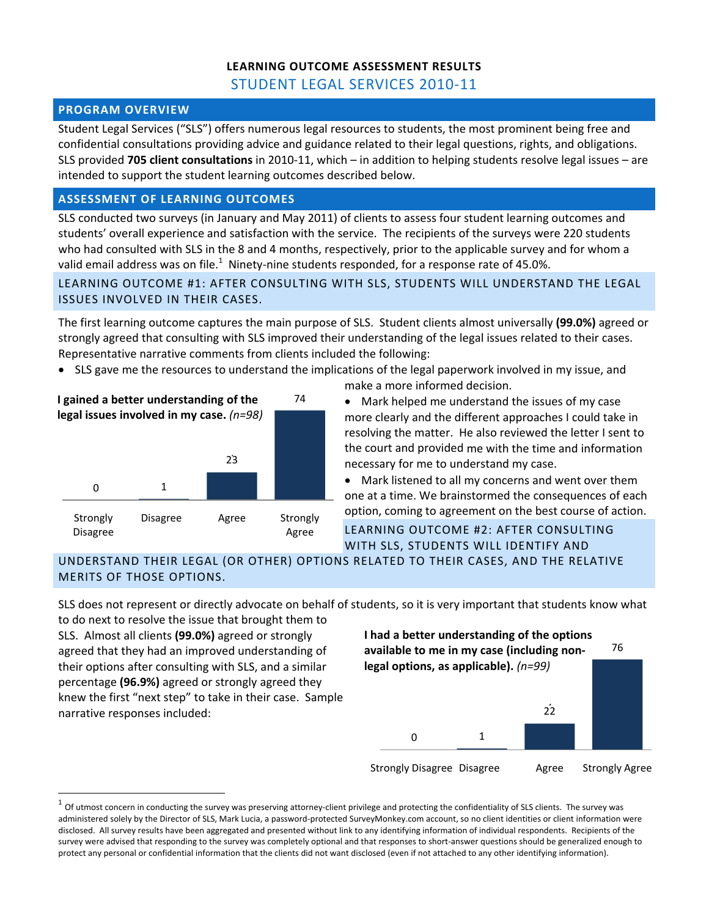# **LEARNING OUTCOME ASSESSMENT RESULTS**

STUDENT LEGAL SERVICES 2010‐11

### **PROGRAM OVERVIEW**

Student Legal Services ("SLS") offers numerous legal resources to students, the most prominent being free and confidential consultations providing advice and guidance related to their legal questions, rights, and obligations. SLS provided **705 client consultations** in 2010‐11, which – in addition to helping students resolve legal issues – are intended to support the student learning outcomes described below.

### **ASSESSMENT OF LEARNING OUTCOMES**

SLS conducted two surveys (in January and May 2011) of clients to assess four student learning outcomes and students' overall experience and satisfaction with the service. The recipients of the surveys were 220 students who had consulted with SLS in the 8 and 4 months, respectively, prior to the applicable survey and for whom a valid email address was on file.<sup>1</sup> Ninety-nine students responded, for a response rate of 45.0%.

LEARNING OUTCOME #1: AFTER CONSULTING WITH SLS, STUDENTS WILL UNDERSTAND THE LEGAL ISSUES INVOLVED IN THEIR CASES.

The first learning outcome captures the main purpose of SLS. Student clients almost universally **(99.0%)** agreed or strongly agreed that consulting with SLS improved their understanding of the legal issues related to their cases. Representative narrative comments from clients included the following:

• SLS gave me the resources to understand the implications of the legal paperwork involved in my issue, and



- make a more informed decision.
- Mark helped me understand the issues of my case more clearly and the different approaches I could take in resolving the matter. He also reviewed the letter I sent to the court and provided me with the time and information necessary for me to understand my case.

 Mark listened to all my concerns and went over them one at a time. We brainstormed the consequences of each option, coming to agreement on the best course of action.

LEARNING OUTCOME #2: AFTER CONSULTING WITH SLS, STUDENTS WILL IDENTIFY AND

UNDERSTAND THEIR LEGAL (OR OTHER) OPTIONS RELATED TO THEIR CASES, AND THE RELATIVE MERITS OF THOSE OPTIONS.

SLS does not represent or directly advocate on behalf of students, so it is very important that students know what

to do next to resolve the issue that brought them to SLS. Almost all clients **(99.0%)** agreed or strongly agreed that they had an improved understanding of their options after consulting with SLS, and a similar percentage **(96.9%)** agreed or strongly agreed they knew the first "next step" to take in their case. Sample narrative responses included:



Of utmost concern in conducting the survey was preserving attorney-client privilege and protecting the confidentiality of SLS clients. The survey was administered solely by the Director of SLS, Mark Lucia, a password-protected SurveyMonkey.com account, so no client identities or client information were disclosed. All survey results have been aggregated and presented without link to any identifying information of individual respondents. Recipients of the survey were advised that responding to the survey was completely optional and that responses to short-answer questions should be generalized enough to protect any personal or confidential information that the clients did not want disclosed (even if not attached to any other identifying information).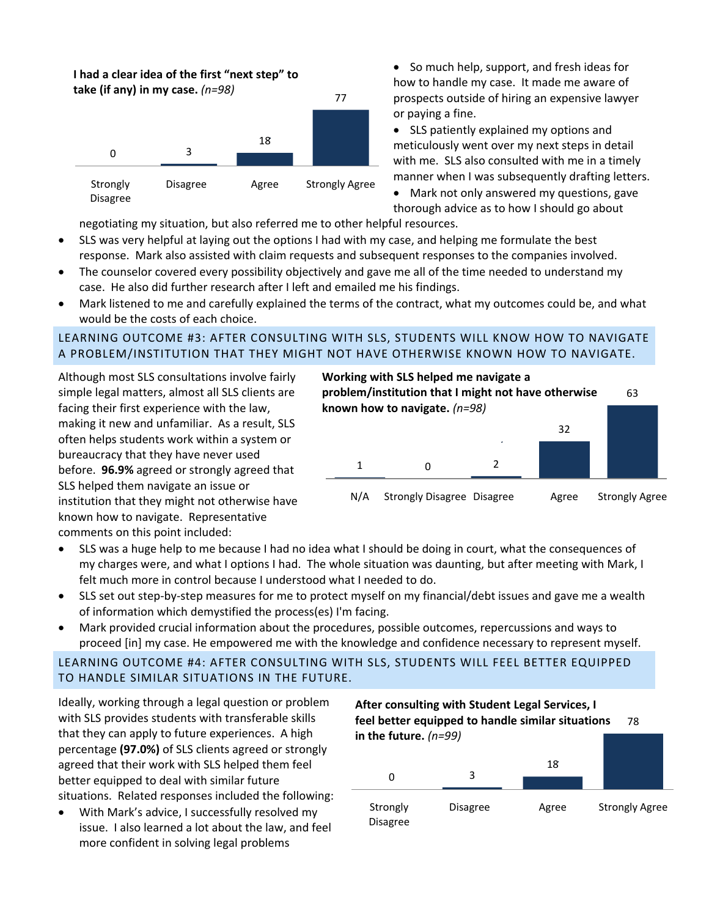# **I had a clear idea of the first "next step" to**

**take (if any) in my case.** *(n=98)*



• So much help, support, and fresh ideas for how to handle my case. It made me aware of prospects outside of hiring an expensive lawyer or paying a fine.

 SLS patiently explained my options and meticulously went over my next steps in detail with me. SLS also consulted with me in a timely manner when I was subsequently drafting letters.

 Mark not only answered my questions, gave thorough advice as to how I should go about

negotiating my situation, but also referred me to other helpful resources.

- SLS was very helpful at laying out the options I had with my case, and helping me formulate the best response. Mark also assisted with claim requests and subsequent responses to the companies involved.
- The counselor covered every possibility objectively and gave me all of the time needed to understand my case. He also did further research after I left and emailed me his findings.
- Mark listened to me and carefully explained the terms of the contract, what my outcomes could be, and what would be the costs of each choice.

### LEARNING OUTCOME #3: AFTER CONSULTING WITH SLS, STUDENTS WILL KNOW HOW TO NAVIGATE A PROBLEM/INSTITUTION THAT THEY MIGHT NOT HAVE OTHERWISE KNOWN HOW TO NAVIGATE.

Although most SLS consultations involve fairly simple legal matters, almost all SLS clients are facing their first experience with the law, making it new and unfamiliar. As a result, SLS often helps students work within a system or bureaucracy that they have never used before. **96.9%** agreed or strongly agreed that SLS helped them navigate an issue or institution that they might not otherwise have known how to navigate. Representative comments on this point included:



- SLS was a huge help to me because I had no idea what I should be doing in court, what the consequences of my charges were, and what I options I had. The whole situation was daunting, but after meeting with Mark, I felt much more in control because I understood what I needed to do.
- SLS set out step‐by‐step measures for me to protect myself on my financial/debt issues and gave me a wealth of information which demystified the process(es) I'm facing.
- Mark provided crucial information about the procedures, possible outcomes, repercussions and ways to proceed [in] my case. He empowered me with the knowledge and confidence necessary to represent myself.

LEARNING OUTCOME #4: AFTER CONSULTING WITH SLS, STUDENTS WILL FEEL BETTER EQUIPPED TO HANDLE SIMILAR SITUATIONS IN THE FUTURE.

Ideally, working through a legal question or problem with SLS provides students with transferable skills that they can apply to future experiences. A high percentage **(97.0%)** of SLS clients agreed or strongly agreed that their work with SLS helped them feel better equipped to deal with similar future situations. Related responses included the following:

 With Mark's advice, I successfully resolved my issue. I also learned a lot about the law, and feel more confident in solving legal problems